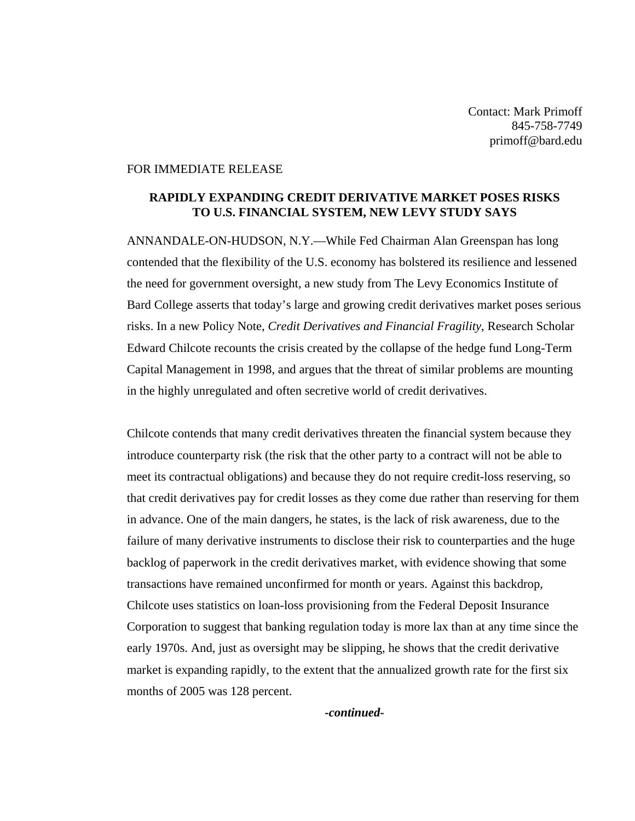Contact: Mark Primoff 845-758-7749 primoff@bard.edu

## FOR IMMEDIATE RELEASE

## **RAPIDLY EXPANDING CREDIT DERIVATIVE MARKET POSES RISKS TO U.S. FINANCIAL SYSTEM, NEW LEVY STUDY SAYS**

ANNANDALE-ON-HUDSON, N.Y.—While Fed Chairman Alan Greenspan has long contended that the flexibility of the U.S. economy has bolstered its resilience and lessened the need for government oversight, a new study from The Levy Economics Institute of Bard College asserts that today's large and growing credit derivatives market poses serious risks. In a new Policy Note, *Credit Derivatives and Financial Fragility*, Research Scholar Edward Chilcote recounts the crisis created by the collapse of the hedge fund Long-Term Capital Management in 1998, and argues that the threat of similar problems are mounting in the highly unregulated and often secretive world of credit derivatives.

Chilcote contends that many credit derivatives threaten the financial system because they introduce counterparty risk (the risk that the other party to a contract will not be able to meet its contractual obligations) and because they do not require credit-loss reserving, so that credit derivatives pay for credit losses as they come due rather than reserving for them in advance. One of the main dangers, he states, is the lack of risk awareness, due to the failure of many derivative instruments to disclose their risk to counterparties and the huge backlog of paperwork in the credit derivatives market, with evidence showing that some transactions have remained unconfirmed for month or years. Against this backdrop, Chilcote uses statistics on loan-loss provisioning from the Federal Deposit Insurance Corporation to suggest that banking regulation today is more lax than at any time since the early 1970s. And, just as oversight may be slipping, he shows that the credit derivative market is expanding rapidly, to the extent that the annualized growth rate for the first six months of 2005 was 128 percent.

*-continued-*